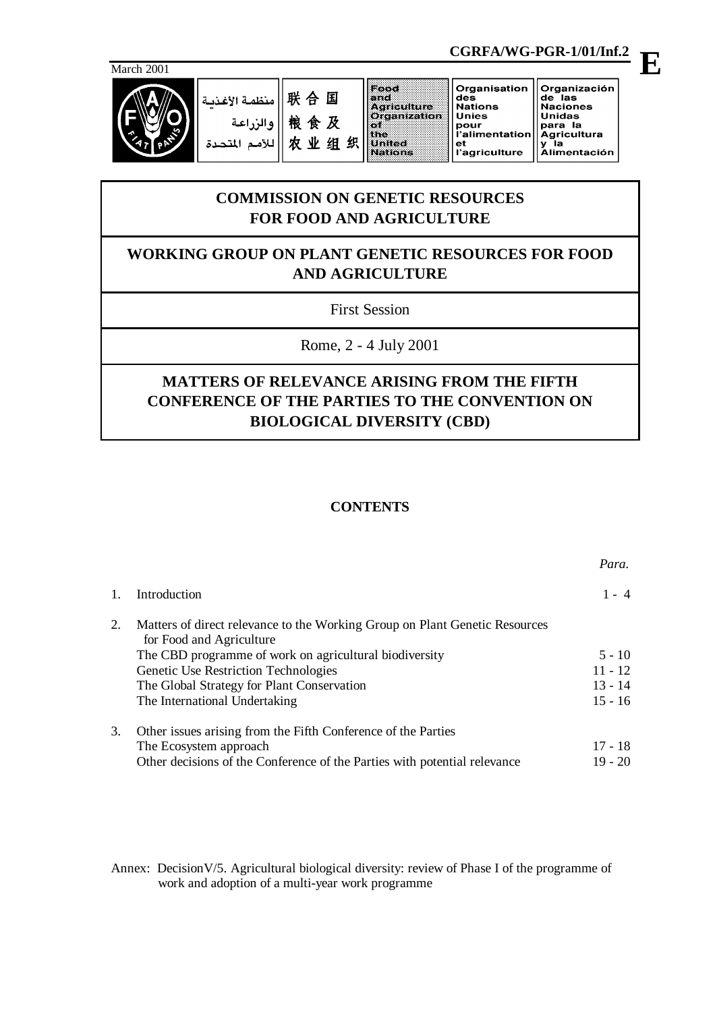

联合国 منظمة الأغذية 粮食及 والز للأمم المت 农业组织

|                     | Urganisation   |
|---------------------|----------------|
|                     | des            |
| Aariculture         | <b>Nations</b> |
| <b>Organization</b> | <b>Unies</b>   |
|                     | pour           |
|                     | l'alimentation |
| Jmileo              | et             |
| Vations             | l'agriculture  |
|                     |                |

## Organización de las<br>Naciones Unidas para la **Agricultura** y <sup>ĭ</sup>la<br>Alimentación

# **COMMISSION ON GENETIC RESOURCES FOR FOOD AND AGRICULTURE**

# **WORKING GROUP ON PLANT GENETIC RESOURCES FOR FOOD AND AGRICULTURE**

First Session

Rome, 2 - 4 July 2001

# **MATTERS OF RELEVANCE ARISING FROM THE FIFTH CONFERENCE OF THE PARTIES TO THE CONVENTION ON BIOLOGICAL DIVERSITY (CBD)**

# **CONTENTS**

|    |                                                                                                         | Para.     |
|----|---------------------------------------------------------------------------------------------------------|-----------|
| 1. | Introduction                                                                                            | $1 - 4$   |
| 2. | Matters of direct relevance to the Working Group on Plant Genetic Resources<br>for Food and Agriculture |           |
|    | The CBD programme of work on agricultural biodiversity                                                  | $5 - 10$  |
|    | Genetic Use Restriction Technologies                                                                    | $11 - 12$ |
|    | The Global Strategy for Plant Conservation                                                              | $13 - 14$ |
|    | The International Undertaking                                                                           | $15 - 16$ |
| 3. | Other issues arising from the Fifth Conference of the Parties                                           |           |
|    | The Ecosystem approach                                                                                  | $17 - 18$ |
|    | Other decisions of the Conference of the Parties with potential relevance                               | $19 - 20$ |

Annex: DecisionV/5. Agricultural biological diversity: review of Phase I of the programme of work and adoption of a multi-year work programme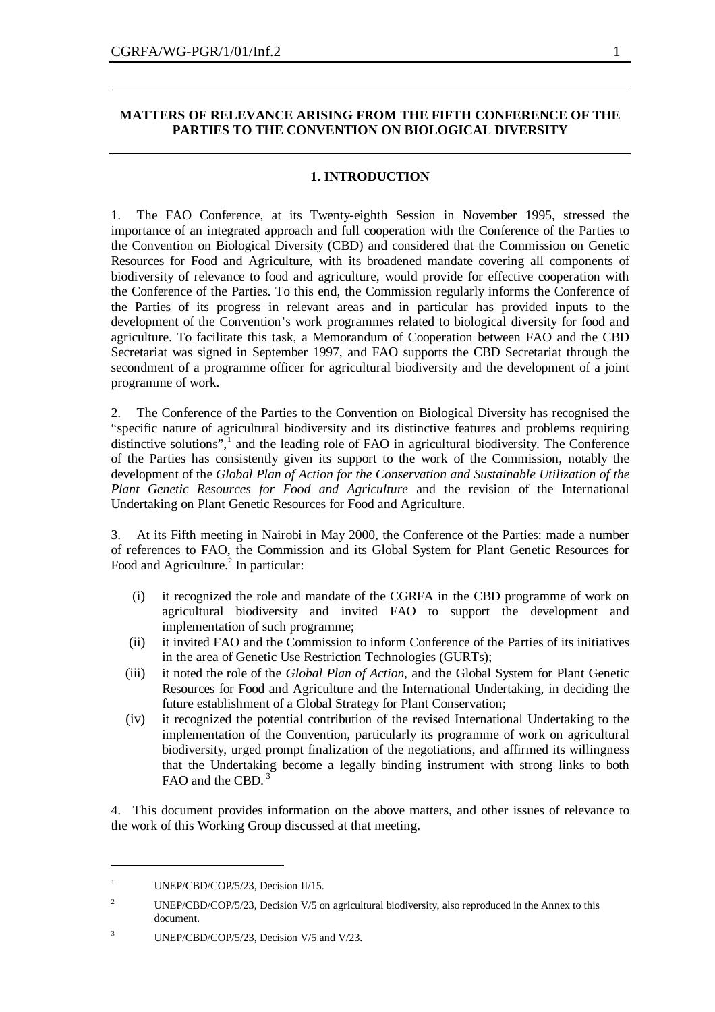# **MATTERS OF RELEVANCE ARISING FROM THE FIFTH CONFERENCE OF THE PARTIES TO THE CONVENTION ON BIOLOGICAL DIVERSITY**

# **1. INTRODUCTION**

1. The FAO Conference, at its Twenty-eighth Session in November 1995, stressed the importance of an integrated approach and full cooperation with the Conference of the Parties to the Convention on Biological Diversity (CBD) and considered that the Commission on Genetic Resources for Food and Agriculture, with its broadened mandate covering all components of biodiversity of relevance to food and agriculture, would provide for effective cooperation with the Conference of the Parties. To this end, the Commission regularly informs the Conference of the Parties of its progress in relevant areas and in particular has provided inputs to the development of the Convention's work programmes related to biological diversity for food and agriculture. To facilitate this task, a Memorandum of Cooperation between FAO and the CBD Secretariat was signed in September 1997, and FAO supports the CBD Secretariat through the secondment of a programme officer for agricultural biodiversity and the development of a joint programme of work.

2. The Conference of the Parties to the Convention on Biological Diversity has recognised the "specific nature of agricultural biodiversity and its distinctive features and problems requiring distinctive solutions",<sup>1</sup> and the leading role of FAO in agricultural biodiversity. The Conference of the Parties has consistently given its support to the work of the Commission, notably the development of the *Global Plan of Action for the Conservation and Sustainable Utilization of the Plant Genetic Resources for Food and Agriculture* and the revision of the International Undertaking on Plant Genetic Resources for Food and Agriculture.

3. At its Fifth meeting in Nairobi in May 2000, the Conference of the Parties: made a number of references to FAO, the Commission and its Global System for Plant Genetic Resources for Food and Agriculture.<sup>2</sup> In particular:

- (i) it recognized the role and mandate of the CGRFA in the CBD programme of work on agricultural biodiversity and invited FAO to support the development and implementation of such programme;
- (ii) it invited FAO and the Commission to inform Conference of the Parties of its initiatives in the area of Genetic Use Restriction Technologies (GURTs);
- (iii) it noted the role of the *Global Plan of Action*, and the Global System for Plant Genetic Resources for Food and Agriculture and the International Undertaking, in deciding the future establishment of a Global Strategy for Plant Conservation;
- (iv) it recognized the potential contribution of the revised International Undertaking to the implementation of the Convention, particularly its programme of work on agricultural biodiversity, urged prompt finalization of the negotiations, and affirmed its willingness that the Undertaking become a legally binding instrument with strong links to both FAO and the CBD.<sup>3</sup>

4. This document provides information on the above matters, and other issues of relevance to the work of this Working Group discussed at that meeting.

<sup>&</sup>lt;sup>1</sup> UNEP/CBD/COP/5/23, Decision II/15.

<sup>&</sup>lt;sup>2</sup> UNEP/CBD/COP/5/23, Decision V/5 on agricultural biodiversity, also reproduced in the Annex to this document.

<sup>&</sup>lt;sup>3</sup> UNEP/CBD/COP/5/23, Decision V/5 and V/23.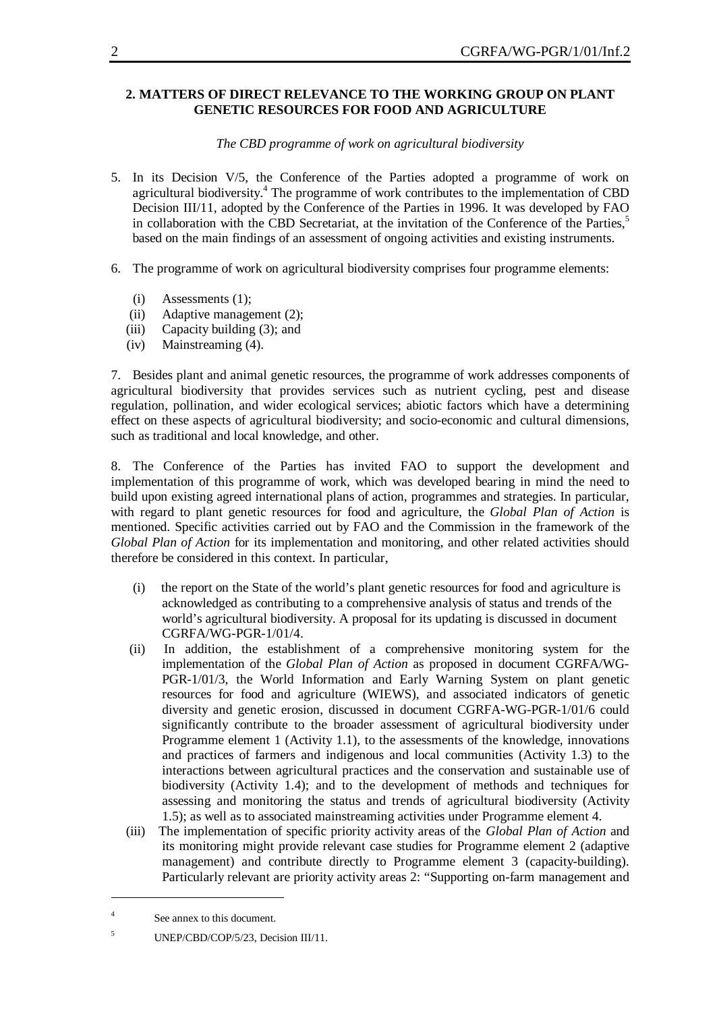# **2. MATTERS OF DIRECT RELEVANCE TO THE WORKING GROUP ON PLANT GENETIC RESOURCES FOR FOOD AND AGRICULTURE**

# *The CBD programme of work on agricultural biodiversity*

- 5. In its Decision V/5, the Conference of the Parties adopted a programme of work on agricultural biodiversity.<sup>4</sup> The programme of work contributes to the implementation of CBD Decision III/11, adopted by the Conference of the Parties in 1996. It was developed by FAO in collaboration with the CBD Secretariat, at the invitation of the Conference of the Parties,<sup>5</sup> based on the main findings of an assessment of ongoing activities and existing instruments.
- 6. The programme of work on agricultural biodiversity comprises four programme elements:
	- (i) Assessments (1);
	- (ii) Adaptive management (2);
	- (iii) Capacity building (3); and
	- (iv) Mainstreaming (4).

7. Besides plant and animal genetic resources, the programme of work addresses components of agricultural biodiversity that provides services such as nutrient cycling, pest and disease regulation, pollination, and wider ecological services; abiotic factors which have a determining effect on these aspects of agricultural biodiversity; and socio-economic and cultural dimensions, such as traditional and local knowledge, and other.

8. The Conference of the Parties has invited FAO to support the development and implementation of this programme of work, which was developed bearing in mind the need to build upon existing agreed international plans of action, programmes and strategies. In particular, with regard to plant genetic resources for food and agriculture, the *Global Plan of Action* is mentioned. Specific activities carried out by FAO and the Commission in the framework of the *Global Plan of Action* for its implementation and monitoring, and other related activities should therefore be considered in this context. In particular,

- (i) the report on the State of the world's plant genetic resources for food and agriculture is acknowledged as contributing to a comprehensive analysis of status and trends of the world's agricultural biodiversity. A proposal for its updating is discussed in document CGRFA/WG-PGR-1/01/4.
- (ii) In addition, the establishment of a comprehensive monitoring system for the implementation of the *Global Plan of Action* as proposed in document CGRFA/WG-PGR-1/01/3, the World Information and Early Warning System on plant genetic resources for food and agriculture (WIEWS), and associated indicators of genetic diversity and genetic erosion, discussed in document CGRFA-WG-PGR-1/01/6 could significantly contribute to the broader assessment of agricultural biodiversity under Programme element 1 (Activity 1.1), to the assessments of the knowledge, innovations and practices of farmers and indigenous and local communities (Activity 1.3) to the interactions between agricultural practices and the conservation and sustainable use of biodiversity (Activity 1.4); and to the development of methods and techniques for assessing and monitoring the status and trends of agricultural biodiversity (Activity 1.5); as well as to associated mainstreaming activities under Programme element 4.
- (iii) The implementation of specific priority activity areas of the *Global Plan of Action* and its monitoring might provide relevant case studies for Programme element 2 (adaptive management) and contribute directly to Programme element 3 (capacity-building). Particularly relevant are priority activity areas 2: "Supporting on-farm management and

<sup>4</sup> See annex to this document.

<sup>&</sup>lt;sup>5</sup> UNEP/CBD/COP/5/23, Decision III/11.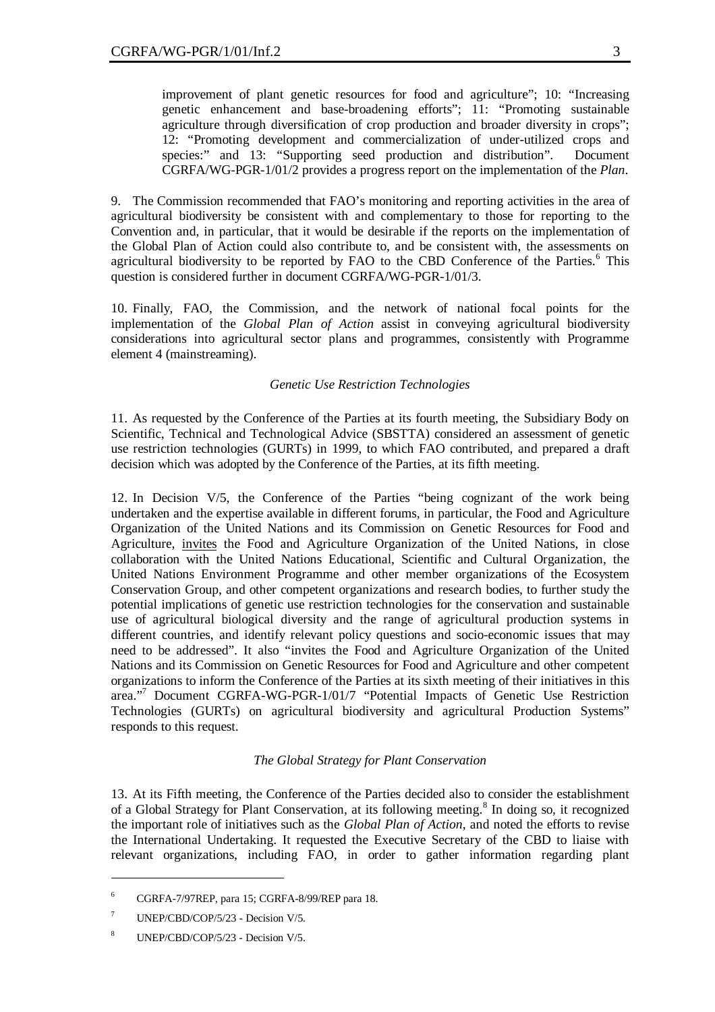improvement of plant genetic resources for food and agriculture"; 10: "Increasing genetic enhancement and base-broadening efforts"; 11: "Promoting sustainable agriculture through diversification of crop production and broader diversity in crops"; 12: "Promoting development and commercialization of under-utilized crops and species:" and 13: "Supporting seed production and distribution". Document CGRFA/WG-PGR-1/01/2 provides a progress report on the implementation of the *Plan*.

9. The Commission recommended that FAO's monitoring and reporting activities in the area of agricultural biodiversity be consistent with and complementary to those for reporting to the Convention and, in particular, that it would be desirable if the reports on the implementation of the Global Plan of Action could also contribute to, and be consistent with, the assessments on agricultural biodiversity to be reported by FAO to the CBD Conference of the Parties.<sup>6</sup> This question is considered further in document CGRFA/WG-PGR-1/01/3.

10. Finally, FAO, the Commission, and the network of national focal points for the implementation of the *Global Plan of Action* assist in conveying agricultural biodiversity considerations into agricultural sector plans and programmes, consistently with Programme element 4 (mainstreaming).

# *Genetic Use Restriction Technologies*

11. As requested by the Conference of the Parties at its fourth meeting, the Subsidiary Body on Scientific, Technical and Technological Advice (SBSTTA) considered an assessment of genetic use restriction technologies (GURTs) in 1999, to which FAO contributed, and prepared a draft decision which was adopted by the Conference of the Parties, at its fifth meeting.

12. In Decision V/5, the Conference of the Parties "being cognizant of the work being undertaken and the expertise available in different forums, in particular, the Food and Agriculture Organization of the United Nations and its Commission on Genetic Resources for Food and Agriculture, invites the Food and Agriculture Organization of the United Nations, in close collaboration with the United Nations Educational, Scientific and Cultural Organization, the United Nations Environment Programme and other member organizations of the Ecosystem Conservation Group, and other competent organizations and research bodies, to further study the potential implications of genetic use restriction technologies for the conservation and sustainable use of agricultural biological diversity and the range of agricultural production systems in different countries, and identify relevant policy questions and socio-economic issues that may need to be addressed". It also "invites the Food and Agriculture Organization of the United Nations and its Commission on Genetic Resources for Food and Agriculture and other competent organizations to inform the Conference of the Parties at its sixth meeting of their initiatives in this area."<sup>7</sup> Document CGRFA-WG-PGR-1/01/7 "Potential Impacts of Genetic Use Restriction Technologies (GURTs) on agricultural biodiversity and agricultural Production Systems" responds to this request.

# *The Global Strategy for Plant Conservation*

13. At its Fifth meeting, the Conference of the Parties decided also to consider the establishment of a Global Strategy for Plant Conservation, at its following meeting.<sup>8</sup> In doing so, it recognized the important role of initiatives such as the *Global Plan of Action*, and noted the efforts to revise the International Undertaking. It requested the Executive Secretary of the CBD to liaise with relevant organizations, including FAO, in order to gather information regarding plant

<sup>6</sup> CGRFA-7/97REP, para 15; CGRFA-8/99/REP para 18.

<sup>&</sup>lt;sup>7</sup> UNEP/CBD/COP/5/23 - Decision  $V/5$ .

<sup>8</sup> UNEP/CBD/COP/5/23 - Decision V/5.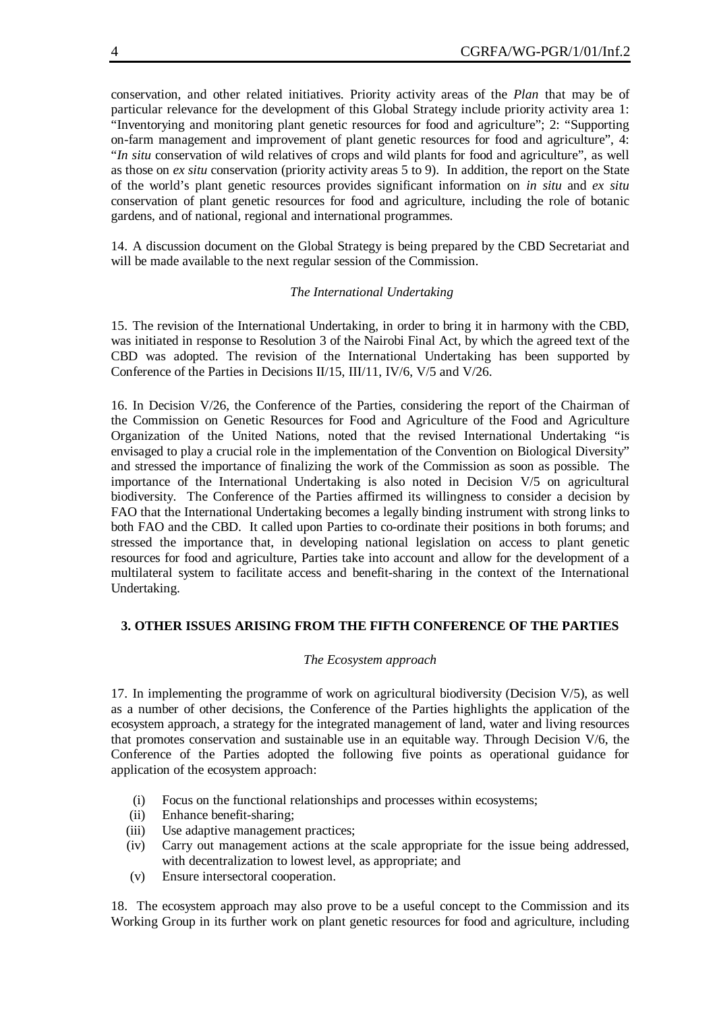conservation, and other related initiatives. Priority activity areas of the *Plan* that may be of particular relevance for the development of this Global Strategy include priority activity area 1: "Inventorying and monitoring plant genetic resources for food and agriculture"; 2: "Supporting on-farm management and improvement of plant genetic resources for food and agriculture", 4: "*In situ* conservation of wild relatives of crops and wild plants for food and agriculture", as well as those on *ex situ* conservation (priority activity areas 5 to 9). In addition, the report on the State of the world's plant genetic resources provides significant information on *in situ* and *ex situ* conservation of plant genetic resources for food and agriculture, including the role of botanic gardens, and of national, regional and international programmes.

14. A discussion document on the Global Strategy is being prepared by the CBD Secretariat and will be made available to the next regular session of the Commission.

# *The International Undertaking*

15. The revision of the International Undertaking, in order to bring it in harmony with the CBD, was initiated in response to Resolution 3 of the Nairobi Final Act, by which the agreed text of the CBD was adopted. The revision of the International Undertaking has been supported by Conference of the Parties in Decisions II/15, III/11, IV/6, V/5 and V/26.

16. In Decision V/26, the Conference of the Parties, considering the report of the Chairman of the Commission on Genetic Resources for Food and Agriculture of the Food and Agriculture Organization of the United Nations, noted that the revised International Undertaking "is envisaged to play a crucial role in the implementation of the Convention on Biological Diversity" and stressed the importance of finalizing the work of the Commission as soon as possible. The importance of the International Undertaking is also noted in Decision V/5 on agricultural biodiversity. The Conference of the Parties affirmed its willingness to consider a decision by FAO that the International Undertaking becomes a legally binding instrument with strong links to both FAO and the CBD. It called upon Parties to co-ordinate their positions in both forums; and stressed the importance that, in developing national legislation on access to plant genetic resources for food and agriculture, Parties take into account and allow for the development of a multilateral system to facilitate access and benefit-sharing in the context of the International Undertaking.

# **3. OTHER ISSUES ARISING FROM THE FIFTH CONFERENCE OF THE PARTIES**

# *The Ecosystem approach*

17. In implementing the programme of work on agricultural biodiversity (Decision V/5), as well as a number of other decisions, the Conference of the Parties highlights the application of the ecosystem approach, a strategy for the integrated management of land, water and living resources that promotes conservation and sustainable use in an equitable way. Through Decision V/6, the Conference of the Parties adopted the following five points as operational guidance for application of the ecosystem approach:

- (i) Focus on the functional relationships and processes within ecosystems;
- (ii) Enhance benefit-sharing;
- (iii) Use adaptive management practices;
- (iv) Carry out management actions at the scale appropriate for the issue being addressed, with decentralization to lowest level, as appropriate; and
- (v) Ensure intersectoral cooperation.

18. The ecosystem approach may also prove to be a useful concept to the Commission and its Working Group in its further work on plant genetic resources for food and agriculture, including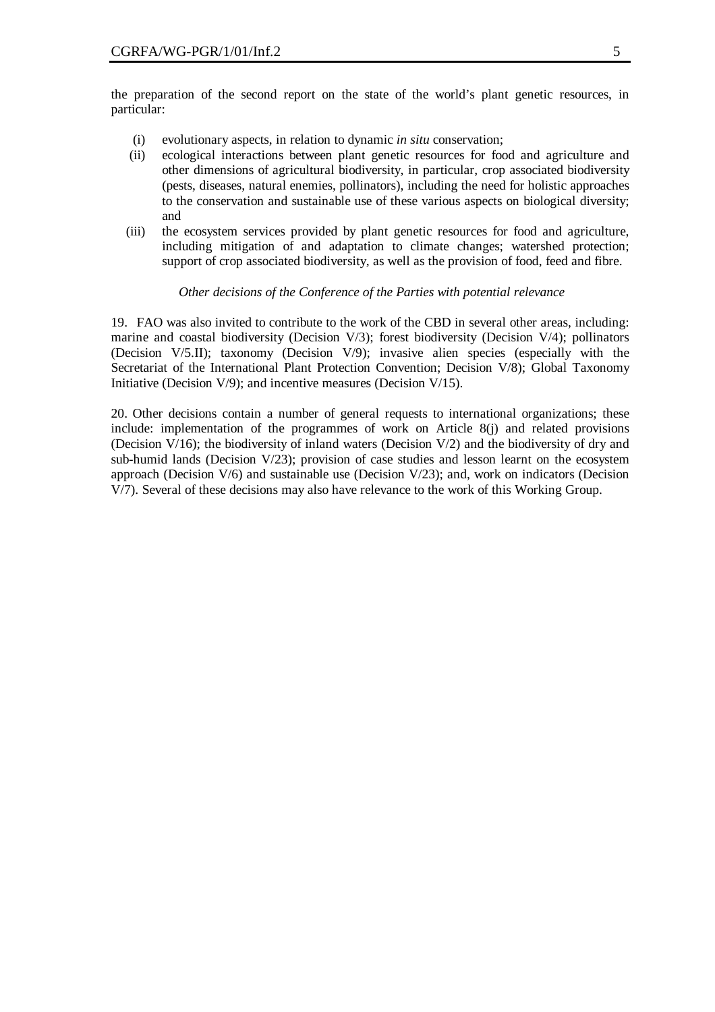the preparation of the second report on the state of the world's plant genetic resources, in particular:

- (i) evolutionary aspects, in relation to dynamic *in situ* conservation;
- (ii) ecological interactions between plant genetic resources for food and agriculture and other dimensions of agricultural biodiversity, in particular, crop associated biodiversity (pests, diseases, natural enemies, pollinators), including the need for holistic approaches to the conservation and sustainable use of these various aspects on biological diversity; and
- (iii) the ecosystem services provided by plant genetic resources for food and agriculture, including mitigation of and adaptation to climate changes; watershed protection; support of crop associated biodiversity, as well as the provision of food, feed and fibre.

## *Other decisions of the Conference of the Parties with potential relevance*

19. FAO was also invited to contribute to the work of the CBD in several other areas, including: marine and coastal biodiversity (Decision V/3); forest biodiversity (Decision V/4); pollinators (Decision V/5.II); taxonomy (Decision V/9); invasive alien species (especially with the Secretariat of the International Plant Protection Convention; Decision V/8); Global Taxonomy Initiative (Decision V/9); and incentive measures (Decision V/15).

20. Other decisions contain a number of general requests to international organizations; these include: implementation of the programmes of work on Article 8(j) and related provisions (Decision V/16); the biodiversity of inland waters (Decision V/2) and the biodiversity of dry and sub-humid lands (Decision V/23); provision of case studies and lesson learnt on the ecosystem approach (Decision  $V/6$ ) and sustainable use (Decision  $V/23$ ); and, work on indicators (Decision V/7). Several of these decisions may also have relevance to the work of this Working Group.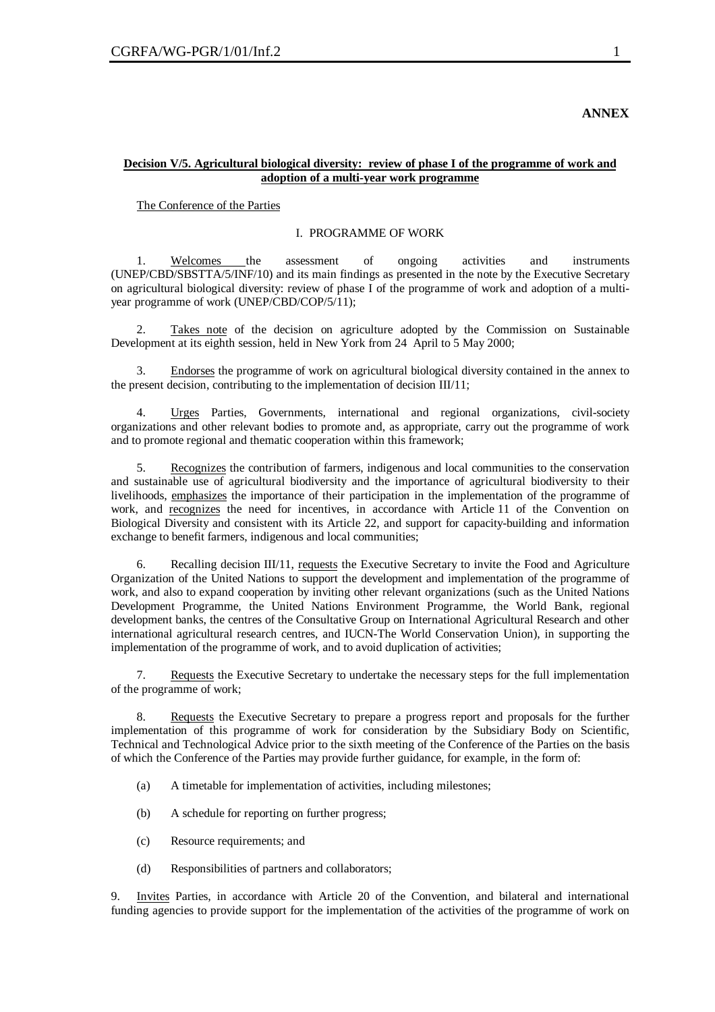# **ANNEX**

# **Decision V/5. Agricultural biological diversity: review of phase I of the programme of work and adoption of a multi-year work programme**

The Conference of the Parties

# I. PROGRAMME OF WORK

1. Welcomes the assessment of ongoing activities and instruments (UNEP/CBD/SBSTTA/5/INF/10) and its main findings as presented in the note by the Executive Secretary on agricultural biological diversity: review of phase I of the programme of work and adoption of a multiyear programme of work (UNEP/CBD/COP/5/11);

2. Takes note of the decision on agriculture adopted by the Commission on Sustainable Development at its eighth session, held in New York from 24 April to 5 May 2000;

3. Endorses the programme of work on agricultural biological diversity contained in the annex to the present decision, contributing to the implementation of decision III/11;

4. Urges Parties, Governments, international and regional organizations, civil-society organizations and other relevant bodies to promote and, as appropriate, carry out the programme of work and to promote regional and thematic cooperation within this framework;

5. Recognizes the contribution of farmers, indigenous and local communities to the conservation and sustainable use of agricultural biodiversity and the importance of agricultural biodiversity to their livelihoods, emphasizes the importance of their participation in the implementation of the programme of work, and recognizes the need for incentives, in accordance with Article 11 of the Convention on Biological Diversity and consistent with its Article 22, and support for capacity-building and information exchange to benefit farmers, indigenous and local communities;

Recalling decision III/11, requests the Executive Secretary to invite the Food and Agriculture Organization of the United Nations to support the development and implementation of the programme of work, and also to expand cooperation by inviting other relevant organizations (such as the United Nations Development Programme, the United Nations Environment Programme, the World Bank, regional development banks, the centres of the Consultative Group on International Agricultural Research and other international agricultural research centres, and IUCN-The World Conservation Union), in supporting the implementation of the programme of work, and to avoid duplication of activities;

7. Requests the Executive Secretary to undertake the necessary steps for the full implementation of the programme of work;

8. Requests the Executive Secretary to prepare a progress report and proposals for the further implementation of this programme of work for consideration by the Subsidiary Body on Scientific, Technical and Technological Advice prior to the sixth meeting of the Conference of the Parties on the basis of which the Conference of the Parties may provide further guidance, for example, in the form of:

- (a) A timetable for implementation of activities, including milestones;
- (b) A schedule for reporting on further progress;
- (c) Resource requirements; and
- (d) Responsibilities of partners and collaborators;

9. Invites Parties, in accordance with Article 20 of the Convention, and bilateral and international funding agencies to provide support for the implementation of the activities of the programme of work on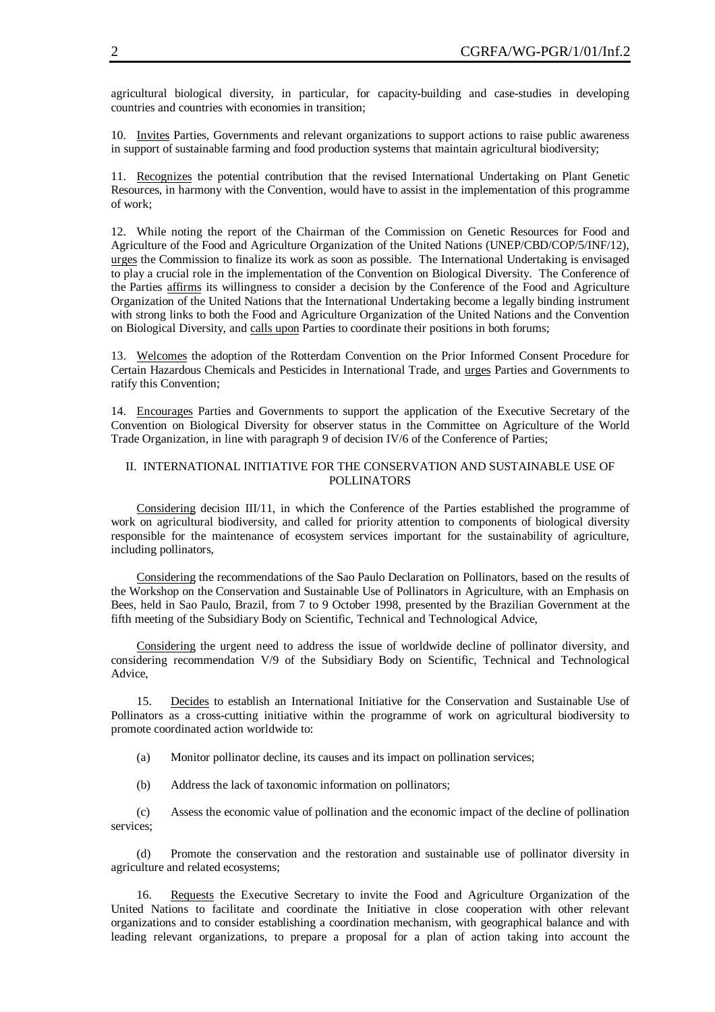agricultural biological diversity, in particular, for capacity-building and case-studies in developing countries and countries with economies in transition;

10. Invites Parties, Governments and relevant organizations to support actions to raise public awareness in support of sustainable farming and food production systems that maintain agricultural biodiversity;

11. Recognizes the potential contribution that the revised International Undertaking on Plant Genetic Resources, in harmony with the Convention, would have to assist in the implementation of this programme of work;

12. While noting the report of the Chairman of the Commission on Genetic Resources for Food and Agriculture of the Food and Agriculture Organization of the United Nations (UNEP/CBD/COP/5/INF/12), urges the Commission to finalize its work as soon as possible. The International Undertaking is envisaged to play a crucial role in the implementation of the Convention on Biological Diversity. The Conference of the Parties affirms its willingness to consider a decision by the Conference of the Food and Agriculture Organization of the United Nations that the International Undertaking become a legally binding instrument with strong links to both the Food and Agriculture Organization of the United Nations and the Convention on Biological Diversity, and calls upon Parties to coordinate their positions in both forums;

13. Welcomes the adoption of the Rotterdam Convention on the Prior Informed Consent Procedure for Certain Hazardous Chemicals and Pesticides in International Trade, and urges Parties and Governments to ratify this Convention;

14. Encourages Parties and Governments to support the application of the Executive Secretary of the Convention on Biological Diversity for observer status in the Committee on Agriculture of the World Trade Organization, in line with paragraph 9 of decision IV/6 of the Conference of Parties;

# II. INTERNATIONAL INITIATIVE FOR THE CONSERVATION AND SUSTAINABLE USE OF POLLINATORS

Considering decision III/11, in which the Conference of the Parties established the programme of work on agricultural biodiversity, and called for priority attention to components of biological diversity responsible for the maintenance of ecosystem services important for the sustainability of agriculture, including pollinators,

Considering the recommendations of the Sao Paulo Declaration on Pollinators, based on the results of the Workshop on the Conservation and Sustainable Use of Pollinators in Agriculture, with an Emphasis on Bees, held in Sao Paulo, Brazil, from 7 to 9 October 1998, presented by the Brazilian Government at the fifth meeting of the Subsidiary Body on Scientific, Technical and Technological Advice,

Considering the urgent need to address the issue of worldwide decline of pollinator diversity, and considering recommendation V/9 of the Subsidiary Body on Scientific, Technical and Technological Advice,

15. Decides to establish an International Initiative for the Conservation and Sustainable Use of Pollinators as a cross-cutting initiative within the programme of work on agricultural biodiversity to promote coordinated action worldwide to:

- (a) Monitor pollinator decline, its causes and its impact on pollination services;
- (b) Address the lack of taxonomic information on pollinators;

(c) Assess the economic value of pollination and the economic impact of the decline of pollination services;

(d) Promote the conservation and the restoration and sustainable use of pollinator diversity in agriculture and related ecosystems;

16. Requests the Executive Secretary to invite the Food and Agriculture Organization of the United Nations to facilitate and coordinate the Initiative in close cooperation with other relevant organizations and to consider establishing a coordination mechanism, with geographical balance and with leading relevant organizations, to prepare a proposal for a plan of action taking into account the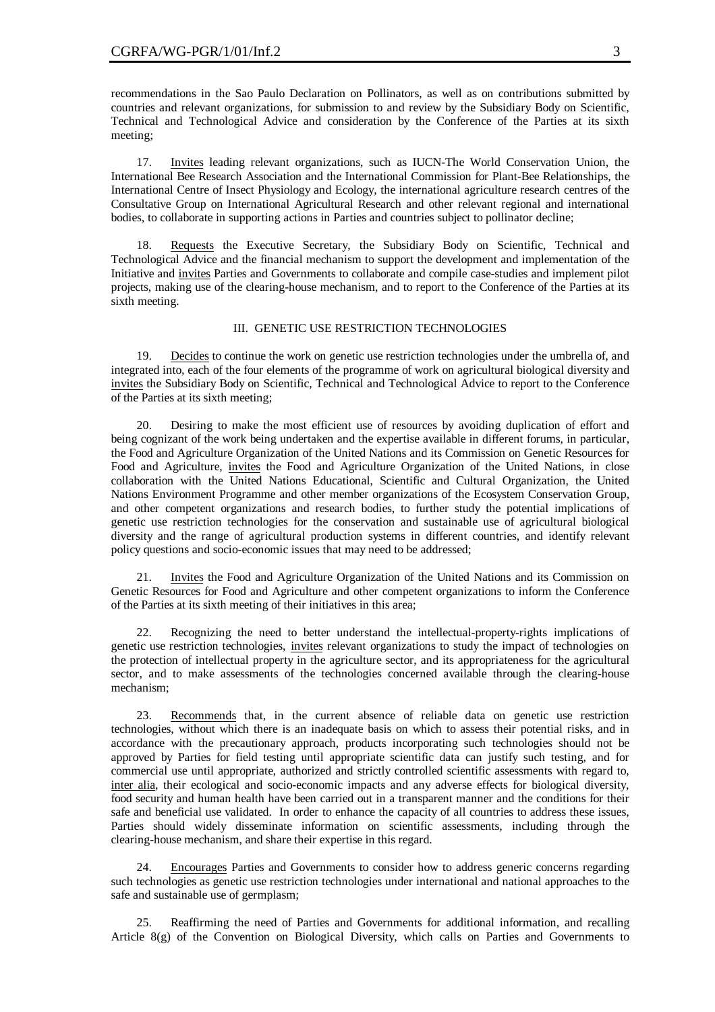recommendations in the Sao Paulo Declaration on Pollinators, as well as on contributions submitted by countries and relevant organizations, for submission to and review by the Subsidiary Body on Scientific, Technical and Technological Advice and consideration by the Conference of the Parties at its sixth meeting;

17. Invites leading relevant organizations, such as IUCN-The World Conservation Union, the International Bee Research Association and the International Commission for Plant-Bee Relationships, the International Centre of Insect Physiology and Ecology, the international agriculture research centres of the Consultative Group on International Agricultural Research and other relevant regional and international bodies, to collaborate in supporting actions in Parties and countries subject to pollinator decline;

18. Requests the Executive Secretary, the Subsidiary Body on Scientific, Technical and Technological Advice and the financial mechanism to support the development and implementation of the Initiative and invites Parties and Governments to collaborate and compile case-studies and implement pilot projects, making use of the clearing-house mechanism, and to report to the Conference of the Parties at its sixth meeting.

# III. GENETIC USE RESTRICTION TECHNOLOGIES

19. Decides to continue the work on genetic use restriction technologies under the umbrella of, and integrated into, each of the four elements of the programme of work on agricultural biological diversity and invites the Subsidiary Body on Scientific, Technical and Technological Advice to report to the Conference of the Parties at its sixth meeting;

20. Desiring to make the most efficient use of resources by avoiding duplication of effort and being cognizant of the work being undertaken and the expertise available in different forums, in particular, the Food and Agriculture Organization of the United Nations and its Commission on Genetic Resources for Food and Agriculture, invites the Food and Agriculture Organization of the United Nations, in close collaboration with the United Nations Educational, Scientific and Cultural Organization, the United Nations Environment Programme and other member organizations of the Ecosystem Conservation Group, and other competent organizations and research bodies, to further study the potential implications of genetic use restriction technologies for the conservation and sustainable use of agricultural biological diversity and the range of agricultural production systems in different countries, and identify relevant policy questions and socio-economic issues that may need to be addressed;

21. Invites the Food and Agriculture Organization of the United Nations and its Commission on Genetic Resources for Food and Agriculture and other competent organizations to inform the Conference of the Parties at its sixth meeting of their initiatives in this area;

22. Recognizing the need to better understand the intellectual-property-rights implications of genetic use restriction technologies, invites relevant organizations to study the impact of technologies on the protection of intellectual property in the agriculture sector, and its appropriateness for the agricultural sector, and to make assessments of the technologies concerned available through the clearing-house mechanism;

23. Recommends that, in the current absence of reliable data on genetic use restriction technologies, without which there is an inadequate basis on which to assess their potential risks, and in accordance with the precautionary approach, products incorporating such technologies should not be approved by Parties for field testing until appropriate scientific data can justify such testing, and for commercial use until appropriate, authorized and strictly controlled scientific assessments with regard to, inter alia, their ecological and socio-economic impacts and any adverse effects for biological diversity, food security and human health have been carried out in a transparent manner and the conditions for their safe and beneficial use validated. In order to enhance the capacity of all countries to address these issues, Parties should widely disseminate information on scientific assessments, including through the clearing-house mechanism, and share their expertise in this regard.

24. Encourages Parties and Governments to consider how to address generic concerns regarding such technologies as genetic use restriction technologies under international and national approaches to the safe and sustainable use of germplasm;

25. Reaffirming the need of Parties and Governments for additional information, and recalling Article 8(g) of the Convention on Biological Diversity, which calls on Parties and Governments to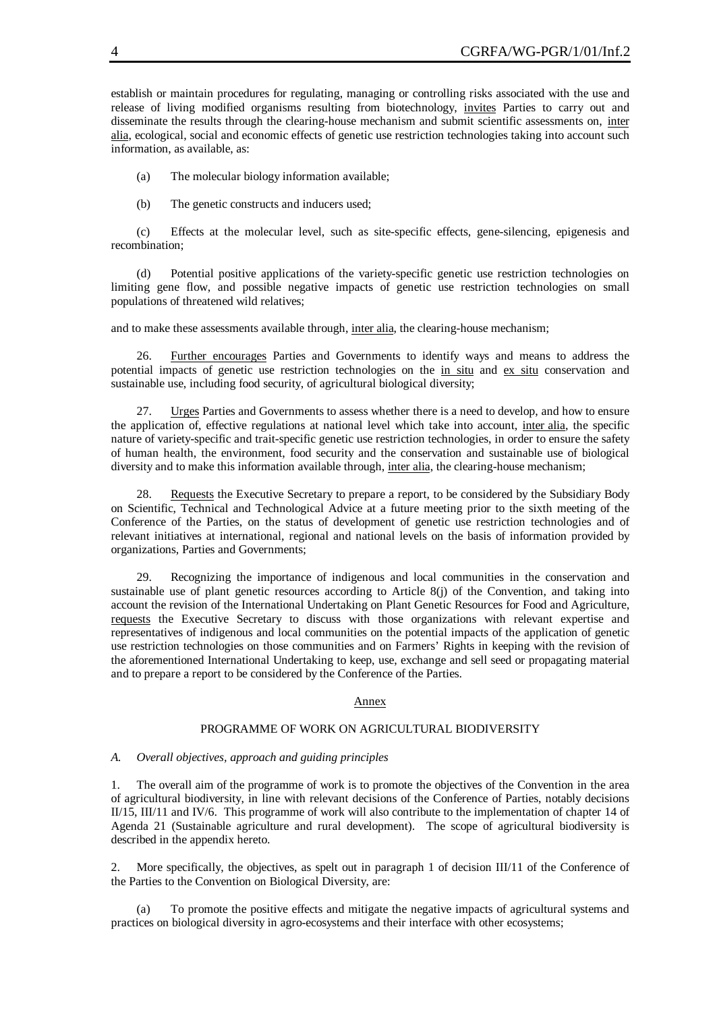establish or maintain procedures for regulating, managing or controlling risks associated with the use and release of living modified organisms resulting from biotechnology, invites Parties to carry out and disseminate the results through the clearing-house mechanism and submit scientific assessments on, inter alia, ecological, social and economic effects of genetic use restriction technologies taking into account such information, as available, as:

(a) The molecular biology information available;

(b) The genetic constructs and inducers used;

(c) Effects at the molecular level, such as site-specific effects, gene-silencing, epigenesis and recombination;

(d) Potential positive applications of the variety-specific genetic use restriction technologies on limiting gene flow, and possible negative impacts of genetic use restriction technologies on small populations of threatened wild relatives;

and to make these assessments available through, inter alia, the clearing-house mechanism;

26. Further encourages Parties and Governments to identify ways and means to address the potential impacts of genetic use restriction technologies on the in situ and ex situ conservation and sustainable use, including food security, of agricultural biological diversity;

27. Urges Parties and Governments to assess whether there is a need to develop, and how to ensure the application of, effective regulations at national level which take into account, inter alia, the specific nature of variety-specific and trait-specific genetic use restriction technologies, in order to ensure the safety of human health, the environment, food security and the conservation and sustainable use of biological diversity and to make this information available through, inter alia, the clearing-house mechanism;

28. Requests the Executive Secretary to prepare a report, to be considered by the Subsidiary Body on Scientific, Technical and Technological Advice at a future meeting prior to the sixth meeting of the Conference of the Parties, on the status of development of genetic use restriction technologies and of relevant initiatives at international, regional and national levels on the basis of information provided by organizations, Parties and Governments;

29. Recognizing the importance of indigenous and local communities in the conservation and sustainable use of plant genetic resources according to Article 8(j) of the Convention, and taking into account the revision of the International Undertaking on Plant Genetic Resources for Food and Agriculture, requests the Executive Secretary to discuss with those organizations with relevant expertise and representatives of indigenous and local communities on the potential impacts of the application of genetic use restriction technologies on those communities and on Farmers' Rights in keeping with the revision of the aforementioned International Undertaking to keep, use, exchange and sell seed or propagating material and to prepare a report to be considered by the Conference of the Parties.

#### Annex

# PROGRAMME OF WORK ON AGRICULTURAL BIODIVERSITY

#### *A. Overall objectives, approach and guiding principles*

1. The overall aim of the programme of work is to promote the objectives of the Convention in the area of agricultural biodiversity, in line with relevant decisions of the Conference of Parties, notably decisions II/15, III/11 and IV/6. This programme of work will also contribute to the implementation of chapter 14 of Agenda 21 (Sustainable agriculture and rural development). The scope of agricultural biodiversity is described in the appendix hereto.

2. More specifically, the objectives, as spelt out in paragraph 1 of decision III/11 of the Conference of the Parties to the Convention on Biological Diversity, are:

(a) To promote the positive effects and mitigate the negative impacts of agricultural systems and practices on biological diversity in agro-ecosystems and their interface with other ecosystems;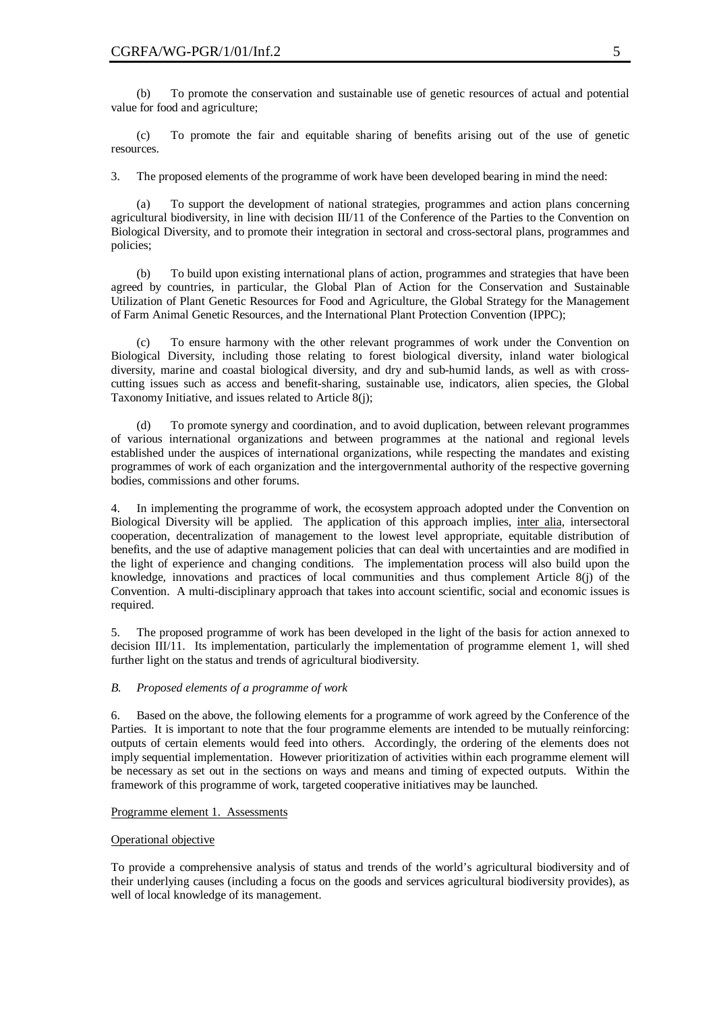(b) To promote the conservation and sustainable use of genetic resources of actual and potential value for food and agriculture;

(c) To promote the fair and equitable sharing of benefits arising out of the use of genetic resources.

3. The proposed elements of the programme of work have been developed bearing in mind the need:

(a) To support the development of national strategies, programmes and action plans concerning agricultural biodiversity, in line with decision III/11 of the Conference of the Parties to the Convention on Biological Diversity, and to promote their integration in sectoral and cross-sectoral plans, programmes and policies;

(b) To build upon existing international plans of action, programmes and strategies that have been agreed by countries, in particular, the Global Plan of Action for the Conservation and Sustainable Utilization of Plant Genetic Resources for Food and Agriculture, the Global Strategy for the Management of Farm Animal Genetic Resources, and the International Plant Protection Convention (IPPC);

(c) To ensure harmony with the other relevant programmes of work under the Convention on Biological Diversity, including those relating to forest biological diversity, inland water biological diversity, marine and coastal biological diversity, and dry and sub-humid lands, as well as with crosscutting issues such as access and benefit-sharing, sustainable use, indicators, alien species, the Global Taxonomy Initiative, and issues related to Article 8(j);

(d) To promote synergy and coordination, and to avoid duplication, between relevant programmes of various international organizations and between programmes at the national and regional levels established under the auspices of international organizations, while respecting the mandates and existing programmes of work of each organization and the intergovernmental authority of the respective governing bodies, commissions and other forums.

4. In implementing the programme of work, the ecosystem approach adopted under the Convention on Biological Diversity will be applied. The application of this approach implies, inter alia, intersectoral cooperation, decentralization of management to the lowest level appropriate, equitable distribution of benefits, and the use of adaptive management policies that can deal with uncertainties and are modified in the light of experience and changing conditions. The implementation process will also build upon the knowledge, innovations and practices of local communities and thus complement Article 8(j) of the Convention. A multi-disciplinary approach that takes into account scientific, social and economic issues is required.

5. The proposed programme of work has been developed in the light of the basis for action annexed to decision III/11. Its implementation, particularly the implementation of programme element 1, will shed further light on the status and trends of agricultural biodiversity.

## *B. Proposed elements of a programme of work*

6. Based on the above, the following elements for a programme of work agreed by the Conference of the Parties. It is important to note that the four programme elements are intended to be mutually reinforcing: outputs of certain elements would feed into others. Accordingly, the ordering of the elements does not imply sequential implementation. However prioritization of activities within each programme element will be necessary as set out in the sections on ways and means and timing of expected outputs. Within the framework of this programme of work, targeted cooperative initiatives may be launched.

## Programme element 1. Assessments

## Operational objective

To provide a comprehensive analysis of status and trends of the world's agricultural biodiversity and of their underlying causes (including a focus on the goods and services agricultural biodiversity provides), as well of local knowledge of its management.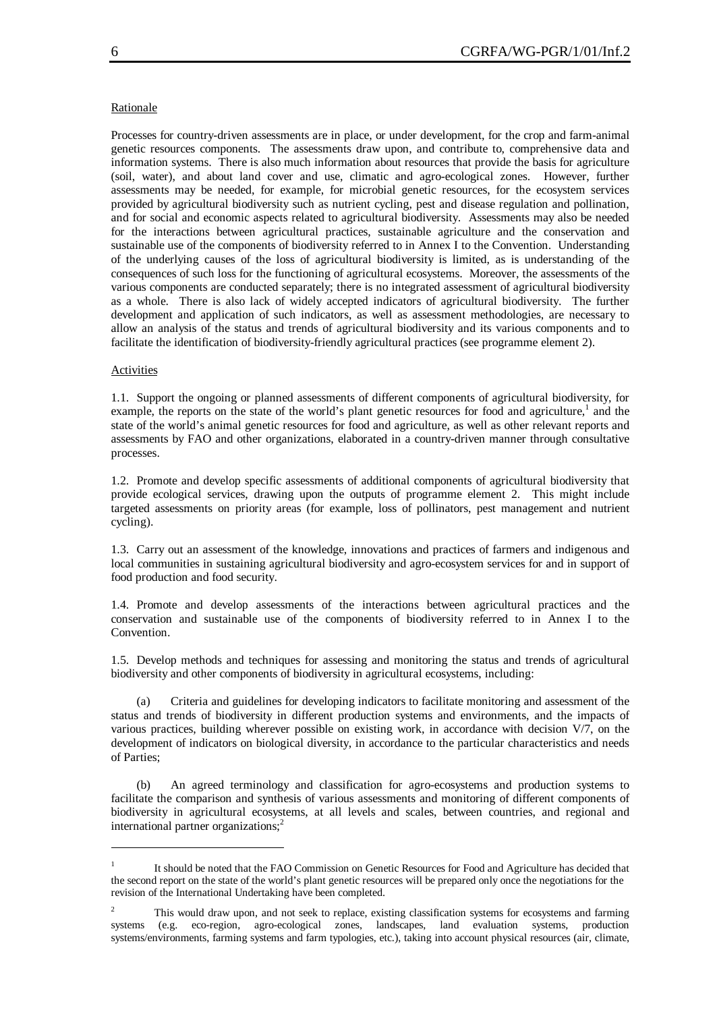#### Rationale

Processes for country-driven assessments are in place, or under development, for the crop and farm-animal genetic resources components. The assessments draw upon, and contribute to, comprehensive data and information systems. There is also much information about resources that provide the basis for agriculture (soil, water), and about land cover and use, climatic and agro-ecological zones. However, further assessments may be needed, for example, for microbial genetic resources, for the ecosystem services provided by agricultural biodiversity such as nutrient cycling, pest and disease regulation and pollination, and for social and economic aspects related to agricultural biodiversity. Assessments may also be needed for the interactions between agricultural practices, sustainable agriculture and the conservation and sustainable use of the components of biodiversity referred to in Annex I to the Convention. Understanding of the underlying causes of the loss of agricultural biodiversity is limited, as is understanding of the consequences of such loss for the functioning of agricultural ecosystems. Moreover, the assessments of the various components are conducted separately; there is no integrated assessment of agricultural biodiversity as a whole. There is also lack of widely accepted indicators of agricultural biodiversity. The further development and application of such indicators, as well as assessment methodologies, are necessary to allow an analysis of the status and trends of agricultural biodiversity and its various components and to facilitate the identification of biodiversity-friendly agricultural practices (see programme element 2).

#### **Activities**

 $\overline{a}$ 

1.1. Support the ongoing or planned assessments of different components of agricultural biodiversity, for example, the reports on the state of the world's plant genetic resources for food and agriculture,<sup>1</sup> and the state of the world's animal genetic resources for food and agriculture, as well as other relevant reports and assessments by FAO and other organizations, elaborated in a country-driven manner through consultative processes.

1.2. Promote and develop specific assessments of additional components of agricultural biodiversity that provide ecological services, drawing upon the outputs of programme element 2. This might include targeted assessments on priority areas (for example, loss of pollinators, pest management and nutrient cycling).

1.3. Carry out an assessment of the knowledge, innovations and practices of farmers and indigenous and local communities in sustaining agricultural biodiversity and agro-ecosystem services for and in support of food production and food security.

1.4. Promote and develop assessments of the interactions between agricultural practices and the conservation and sustainable use of the components of biodiversity referred to in Annex I to the Convention.

1.5. Develop methods and techniques for assessing and monitoring the status and trends of agricultural biodiversity and other components of biodiversity in agricultural ecosystems, including:

(a) Criteria and guidelines for developing indicators to facilitate monitoring and assessment of the status and trends of biodiversity in different production systems and environments, and the impacts of various practices, building wherever possible on existing work, in accordance with decision V/7, on the development of indicators on biological diversity, in accordance to the particular characteristics and needs of Parties;

(b) An agreed terminology and classification for agro-ecosystems and production systems to facilitate the comparison and synthesis of various assessments and monitoring of different components of biodiversity in agricultural ecosystems, at all levels and scales, between countries, and regional and international partner organizations;<sup>2</sup>

<sup>1</sup> It should be noted that the FAO Commission on Genetic Resources for Food and Agriculture has decided that the second report on the state of the world's plant genetic resources will be prepared only once the negotiations for the revision of the International Undertaking have been completed.

This would draw upon, and not seek to replace, existing classification systems for ecosystems and farming systems (e.g. eco-region, agro-ecological zones, landscapes, land evaluation systems, production systems/environments, farming systems and farm typologies, etc.), taking into account physical resources (air, climate,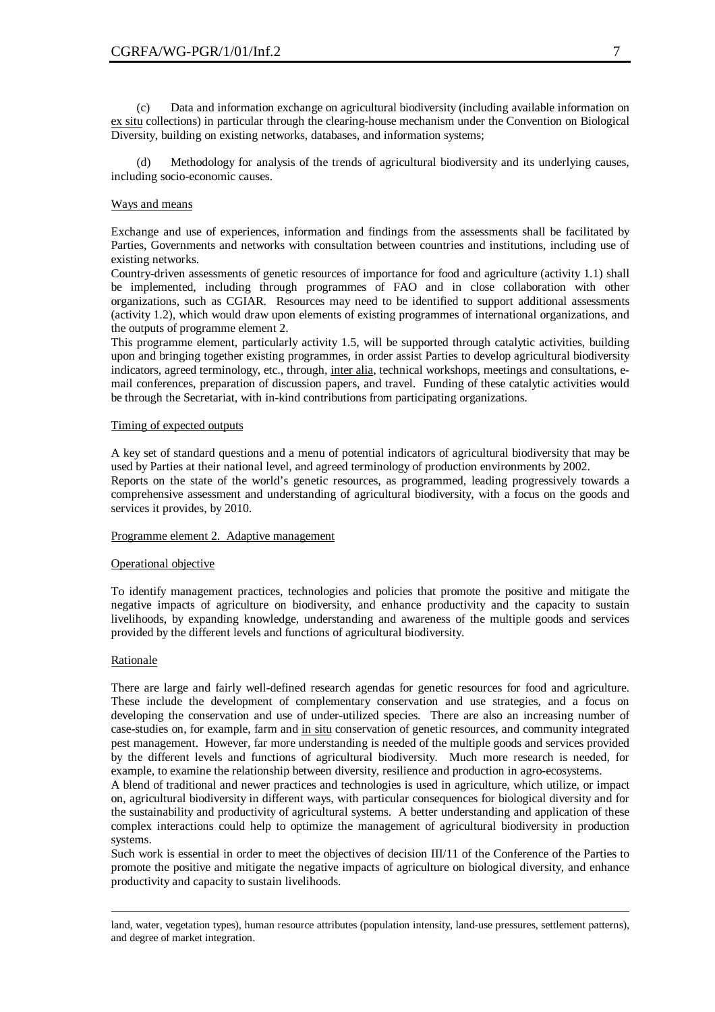(c) Data and information exchange on agricultural biodiversity (including available information on ex situ collections) in particular through the clearing-house mechanism under the Convention on Biological Diversity, building on existing networks, databases, and information systems;

(d) Methodology for analysis of the trends of agricultural biodiversity and its underlying causes, including socio-economic causes.

# Ways and means

Exchange and use of experiences, information and findings from the assessments shall be facilitated by Parties, Governments and networks with consultation between countries and institutions, including use of existing networks.

Country-driven assessments of genetic resources of importance for food and agriculture (activity 1.1) shall be implemented, including through programmes of FAO and in close collaboration with other organizations, such as CGIAR. Resources may need to be identified to support additional assessments (activity 1.2), which would draw upon elements of existing programmes of international organizations, and the outputs of programme element 2.

This programme element, particularly activity 1.5, will be supported through catalytic activities, building upon and bringing together existing programmes, in order assist Parties to develop agricultural biodiversity indicators, agreed terminology, etc., through, inter alia, technical workshops, meetings and consultations, email conferences, preparation of discussion papers, and travel. Funding of these catalytic activities would be through the Secretariat, with in-kind contributions from participating organizations.

# Timing of expected outputs

A key set of standard questions and a menu of potential indicators of agricultural biodiversity that may be used by Parties at their national level, and agreed terminology of production environments by 2002. Reports on the state of the world's genetic resources, as programmed, leading progressively towards a comprehensive assessment and understanding of agricultural biodiversity, with a focus on the goods and services it provides, by 2010.

## Programme element 2. Adaptive management

## Operational objective

To identify management practices, technologies and policies that promote the positive and mitigate the negative impacts of agriculture on biodiversity, and enhance productivity and the capacity to sustain livelihoods, by expanding knowledge, understanding and awareness of the multiple goods and services provided by the different levels and functions of agricultural biodiversity.

## Rationale

 $\overline{a}$ 

There are large and fairly well-defined research agendas for genetic resources for food and agriculture. These include the development of complementary conservation and use strategies, and a focus on developing the conservation and use of under-utilized species. There are also an increasing number of case-studies on, for example, farm and in situ conservation of genetic resources, and community integrated pest management. However, far more understanding is needed of the multiple goods and services provided by the different levels and functions of agricultural biodiversity. Much more research is needed, for example, to examine the relationship between diversity, resilience and production in agro-ecosystems.

A blend of traditional and newer practices and technologies is used in agriculture, which utilize, or impact on, agricultural biodiversity in different ways, with particular consequences for biological diversity and for the sustainability and productivity of agricultural systems. A better understanding and application of these complex interactions could help to optimize the management of agricultural biodiversity in production systems.

Such work is essential in order to meet the objectives of decision III/11 of the Conference of the Parties to promote the positive and mitigate the negative impacts of agriculture on biological diversity, and enhance productivity and capacity to sustain livelihoods.

land, water, vegetation types), human resource attributes (population intensity, land-use pressures, settlement patterns), and degree of market integration.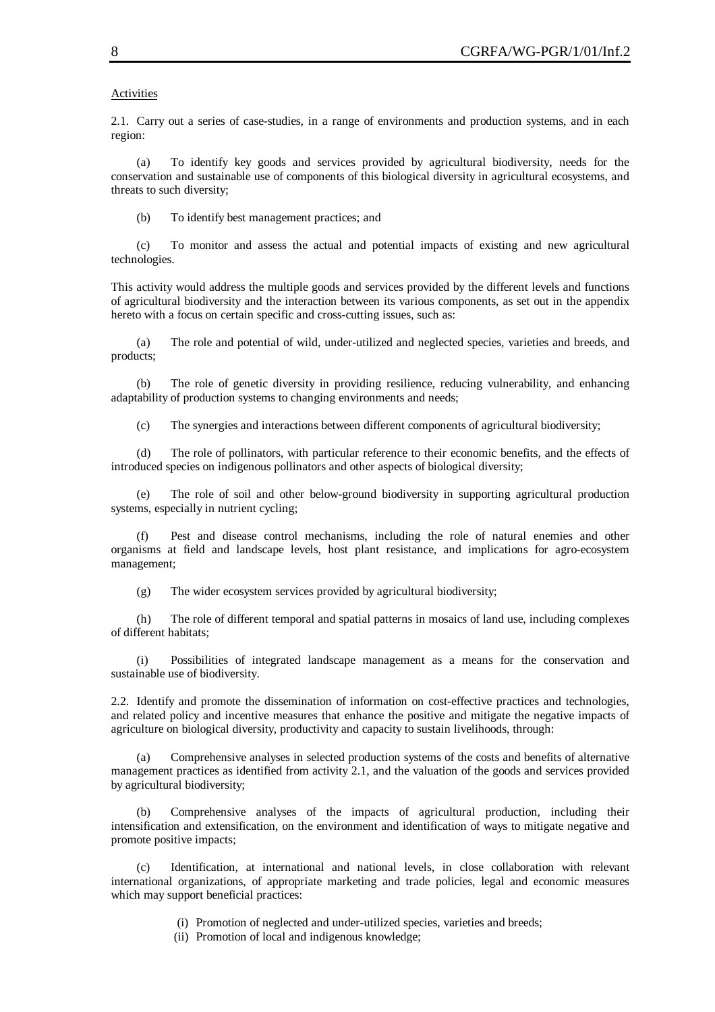#### **Activities**

2.1. Carry out a series of case-studies, in a range of environments and production systems, and in each region:

(a) To identify key goods and services provided by agricultural biodiversity, needs for the conservation and sustainable use of components of this biological diversity in agricultural ecosystems, and threats to such diversity;

(b) To identify best management practices; and

(c) To monitor and assess the actual and potential impacts of existing and new agricultural technologies.

This activity would address the multiple goods and services provided by the different levels and functions of agricultural biodiversity and the interaction between its various components, as set out in the appendix hereto with a focus on certain specific and cross-cutting issues, such as:

(a) The role and potential of wild, under-utilized and neglected species, varieties and breeds, and products;

(b) The role of genetic diversity in providing resilience, reducing vulnerability, and enhancing adaptability of production systems to changing environments and needs;

(c) The synergies and interactions between different components of agricultural biodiversity;

(d) The role of pollinators, with particular reference to their economic benefits, and the effects of introduced species on indigenous pollinators and other aspects of biological diversity;

(e) The role of soil and other below-ground biodiversity in supporting agricultural production systems, especially in nutrient cycling;

(f) Pest and disease control mechanisms, including the role of natural enemies and other organisms at field and landscape levels, host plant resistance, and implications for agro-ecosystem management;

(g) The wider ecosystem services provided by agricultural biodiversity;

(h) The role of different temporal and spatial patterns in mosaics of land use, including complexes of different habitats;

(i) Possibilities of integrated landscape management as a means for the conservation and sustainable use of biodiversity.

2.2. Identify and promote the dissemination of information on cost-effective practices and technologies, and related policy and incentive measures that enhance the positive and mitigate the negative impacts of agriculture on biological diversity, productivity and capacity to sustain livelihoods, through:

(a) Comprehensive analyses in selected production systems of the costs and benefits of alternative management practices as identified from activity 2.1, and the valuation of the goods and services provided by agricultural biodiversity;

(b) Comprehensive analyses of the impacts of agricultural production, including their intensification and extensification, on the environment and identification of ways to mitigate negative and promote positive impacts;

(c) Identification, at international and national levels, in close collaboration with relevant international organizations, of appropriate marketing and trade policies, legal and economic measures which may support beneficial practices:

- (i) Promotion of neglected and under-utilized species, varieties and breeds;
- (ii) Promotion of local and indigenous knowledge;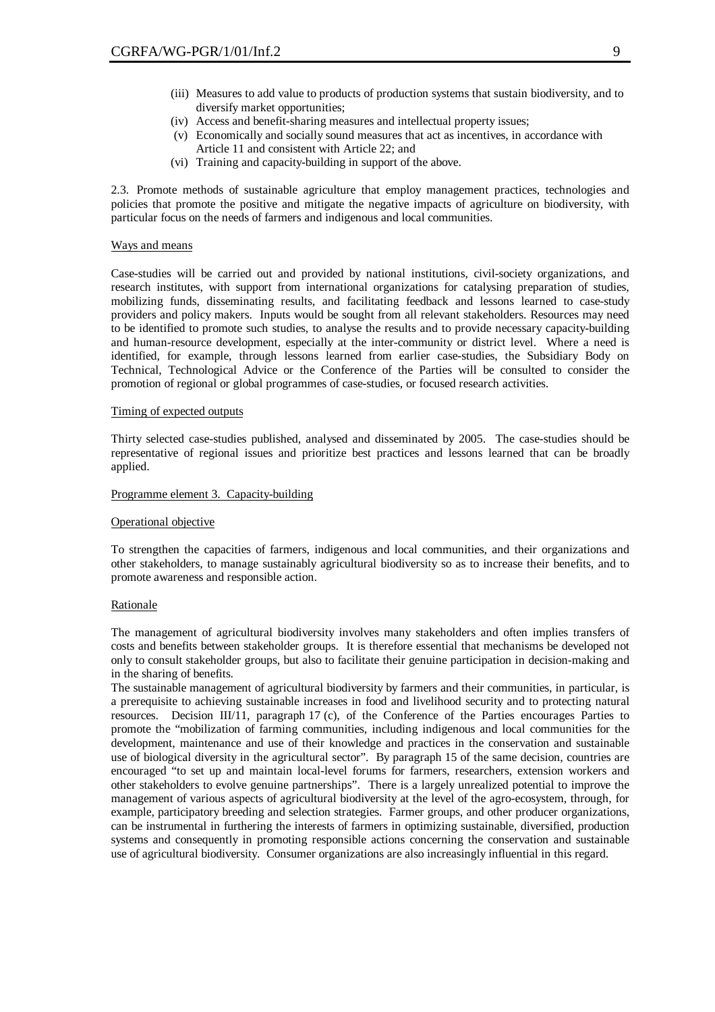- (iii) Measures to add value to products of production systems that sustain biodiversity, and to diversify market opportunities;
- (iv) Access and benefit-sharing measures and intellectual property issues;
- (v) Economically and socially sound measures that act as incentives, in accordance with Article 11 and consistent with Article 22; and
- (vi) Training and capacity-building in support of the above.

2.3. Promote methods of sustainable agriculture that employ management practices, technologies and policies that promote the positive and mitigate the negative impacts of agriculture on biodiversity, with particular focus on the needs of farmers and indigenous and local communities.

#### Ways and means

Case-studies will be carried out and provided by national institutions, civil-society organizations, and research institutes, with support from international organizations for catalysing preparation of studies, mobilizing funds, disseminating results, and facilitating feedback and lessons learned to case-study providers and policy makers. Inputs would be sought from all relevant stakeholders. Resources may need to be identified to promote such studies, to analyse the results and to provide necessary capacity-building and human-resource development, especially at the inter-community or district level. Where a need is identified, for example, through lessons learned from earlier case-studies, the Subsidiary Body on Technical, Technological Advice or the Conference of the Parties will be consulted to consider the promotion of regional or global programmes of case-studies, or focused research activities.

#### Timing of expected outputs

Thirty selected case-studies published, analysed and disseminated by 2005. The case-studies should be representative of regional issues and prioritize best practices and lessons learned that can be broadly applied.

#### Programme element 3. Capacity-building

#### Operational objective

To strengthen the capacities of farmers, indigenous and local communities, and their organizations and other stakeholders, to manage sustainably agricultural biodiversity so as to increase their benefits, and to promote awareness and responsible action.

#### Rationale

The management of agricultural biodiversity involves many stakeholders and often implies transfers of costs and benefits between stakeholder groups. It is therefore essential that mechanisms be developed not only to consult stakeholder groups, but also to facilitate their genuine participation in decision-making and in the sharing of benefits.

The sustainable management of agricultural biodiversity by farmers and their communities, in particular, is a prerequisite to achieving sustainable increases in food and livelihood security and to protecting natural resources. Decision III/11, paragraph 17 (c), of the Conference of the Parties encourages Parties to promote the "mobilization of farming communities, including indigenous and local communities for the development, maintenance and use of their knowledge and practices in the conservation and sustainable use of biological diversity in the agricultural sector". By paragraph 15 of the same decision, countries are encouraged "to set up and maintain local-level forums for farmers, researchers, extension workers and other stakeholders to evolve genuine partnerships". There is a largely unrealized potential to improve the management of various aspects of agricultural biodiversity at the level of the agro-ecosystem, through, for example, participatory breeding and selection strategies. Farmer groups, and other producer organizations, can be instrumental in furthering the interests of farmers in optimizing sustainable, diversified, production systems and consequently in promoting responsible actions concerning the conservation and sustainable use of agricultural biodiversity. Consumer organizations are also increasingly influential in this regard.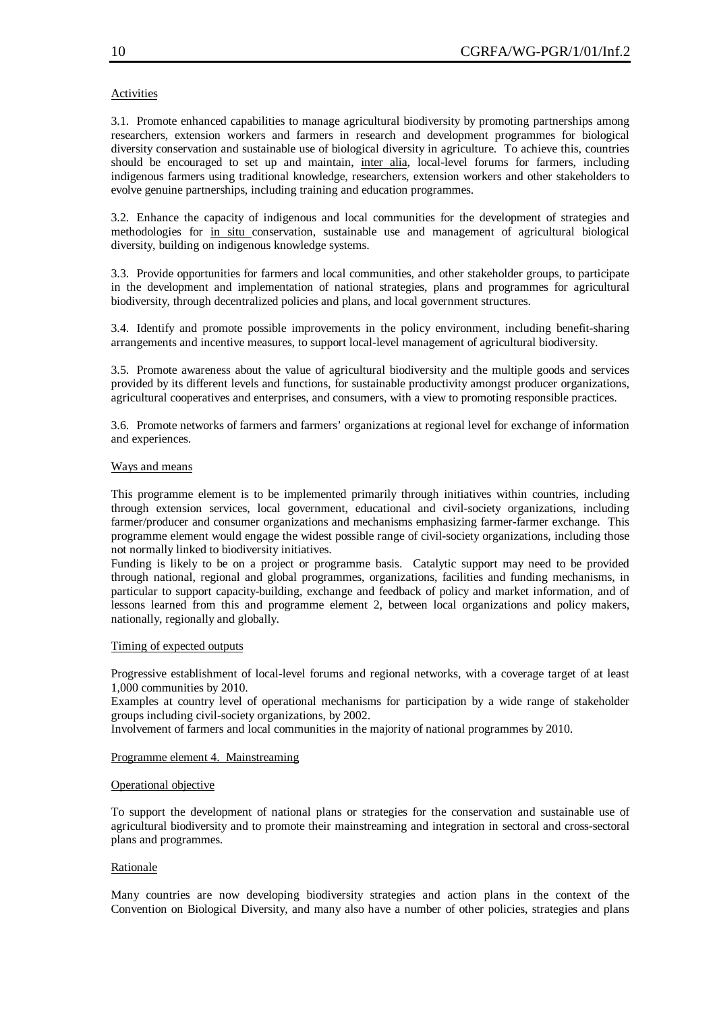# **Activities**

3.1. Promote enhanced capabilities to manage agricultural biodiversity by promoting partnerships among researchers, extension workers and farmers in research and development programmes for biological diversity conservation and sustainable use of biological diversity in agriculture. To achieve this, countries should be encouraged to set up and maintain, inter alia, local-level forums for farmers, including indigenous farmers using traditional knowledge, researchers, extension workers and other stakeholders to evolve genuine partnerships, including training and education programmes.

3.2. Enhance the capacity of indigenous and local communities for the development of strategies and methodologies for in situ conservation, sustainable use and management of agricultural biological diversity, building on indigenous knowledge systems.

3.3. Provide opportunities for farmers and local communities, and other stakeholder groups, to participate in the development and implementation of national strategies, plans and programmes for agricultural biodiversity, through decentralized policies and plans, and local government structures.

3.4. Identify and promote possible improvements in the policy environment, including benefit-sharing arrangements and incentive measures, to support local-level management of agricultural biodiversity.

3.5. Promote awareness about the value of agricultural biodiversity and the multiple goods and services provided by its different levels and functions, for sustainable productivity amongst producer organizations, agricultural cooperatives and enterprises, and consumers, with a view to promoting responsible practices.

3.6. Promote networks of farmers and farmers' organizations at regional level for exchange of information and experiences.

#### Ways and means

This programme element is to be implemented primarily through initiatives within countries, including through extension services, local government, educational and civil-society organizations, including farmer/producer and consumer organizations and mechanisms emphasizing farmer-farmer exchange. This programme element would engage the widest possible range of civil-society organizations, including those not normally linked to biodiversity initiatives.

Funding is likely to be on a project or programme basis. Catalytic support may need to be provided through national, regional and global programmes, organizations, facilities and funding mechanisms, in particular to support capacity-building, exchange and feedback of policy and market information, and of lessons learned from this and programme element 2, between local organizations and policy makers, nationally, regionally and globally.

## Timing of expected outputs

Progressive establishment of local-level forums and regional networks, with a coverage target of at least 1,000 communities by 2010.

Examples at country level of operational mechanisms for participation by a wide range of stakeholder groups including civil-society organizations, by 2002.

Involvement of farmers and local communities in the majority of national programmes by 2010.

## Programme element 4. Mainstreaming

## Operational objective

To support the development of national plans or strategies for the conservation and sustainable use of agricultural biodiversity and to promote their mainstreaming and integration in sectoral and cross-sectoral plans and programmes.

## Rationale

Many countries are now developing biodiversity strategies and action plans in the context of the Convention on Biological Diversity, and many also have a number of other policies, strategies and plans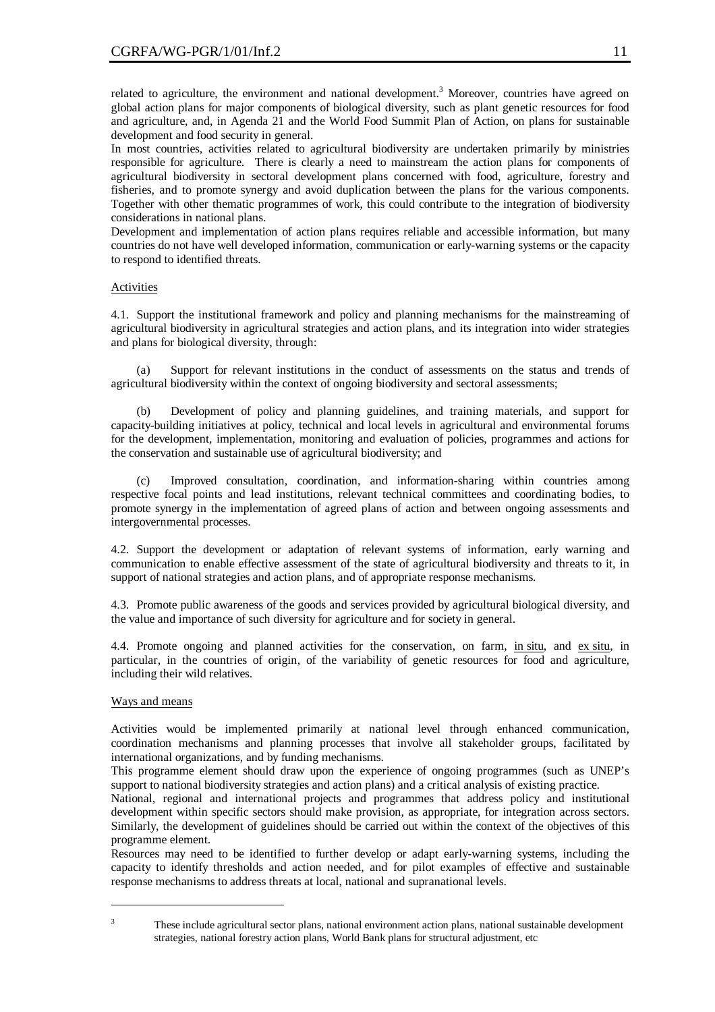related to agriculture, the environment and national development.<sup>3</sup> Moreover, countries have agreed on global action plans for major components of biological diversity, such as plant genetic resources for food and agriculture, and, in Agenda 21 and the World Food Summit Plan of Action, on plans for sustainable development and food security in general.

In most countries, activities related to agricultural biodiversity are undertaken primarily by ministries responsible for agriculture. There is clearly a need to mainstream the action plans for components of agricultural biodiversity in sectoral development plans concerned with food, agriculture, forestry and fisheries, and to promote synergy and avoid duplication between the plans for the various components. Together with other thematic programmes of work, this could contribute to the integration of biodiversity considerations in national plans.

Development and implementation of action plans requires reliable and accessible information, but many countries do not have well developed information, communication or early-warning systems or the capacity to respond to identified threats.

# Activities

4.1. Support the institutional framework and policy and planning mechanisms for the mainstreaming of agricultural biodiversity in agricultural strategies and action plans, and its integration into wider strategies and plans for biological diversity, through:

Support for relevant institutions in the conduct of assessments on the status and trends of agricultural biodiversity within the context of ongoing biodiversity and sectoral assessments;

(b) Development of policy and planning guidelines, and training materials, and support for capacity-building initiatives at policy, technical and local levels in agricultural and environmental forums for the development, implementation, monitoring and evaluation of policies, programmes and actions for the conservation and sustainable use of agricultural biodiversity; and

Improved consultation, coordination, and information-sharing within countries among respective focal points and lead institutions, relevant technical committees and coordinating bodies, to promote synergy in the implementation of agreed plans of action and between ongoing assessments and intergovernmental processes.

4.2. Support the development or adaptation of relevant systems of information, early warning and communication to enable effective assessment of the state of agricultural biodiversity and threats to it, in support of national strategies and action plans, and of appropriate response mechanisms.

4.3. Promote public awareness of the goods and services provided by agricultural biological diversity, and the value and importance of such diversity for agriculture and for society in general.

4.4. Promote ongoing and planned activities for the conservation, on farm, in situ, and ex situ, in particular, in the countries of origin, of the variability of genetic resources for food and agriculture, including their wild relatives.

## Ways and means

Activities would be implemented primarily at national level through enhanced communication, coordination mechanisms and planning processes that involve all stakeholder groups, facilitated by international organizations, and by funding mechanisms.

This programme element should draw upon the experience of ongoing programmes (such as UNEP's support to national biodiversity strategies and action plans) and a critical analysis of existing practice.

National, regional and international projects and programmes that address policy and institutional development within specific sectors should make provision, as appropriate, for integration across sectors. Similarly, the development of guidelines should be carried out within the context of the objectives of this programme element.

Resources may need to be identified to further develop or adapt early-warning systems, including the capacity to identify thresholds and action needed, and for pilot examples of effective and sustainable response mechanisms to address threats at local, national and supranational levels.

<sup>&</sup>lt;sup>3</sup> These include agricultural sector plans, national environment action plans, national sustainable development strategies, national forestry action plans, World Bank plans for structural adjustment, etc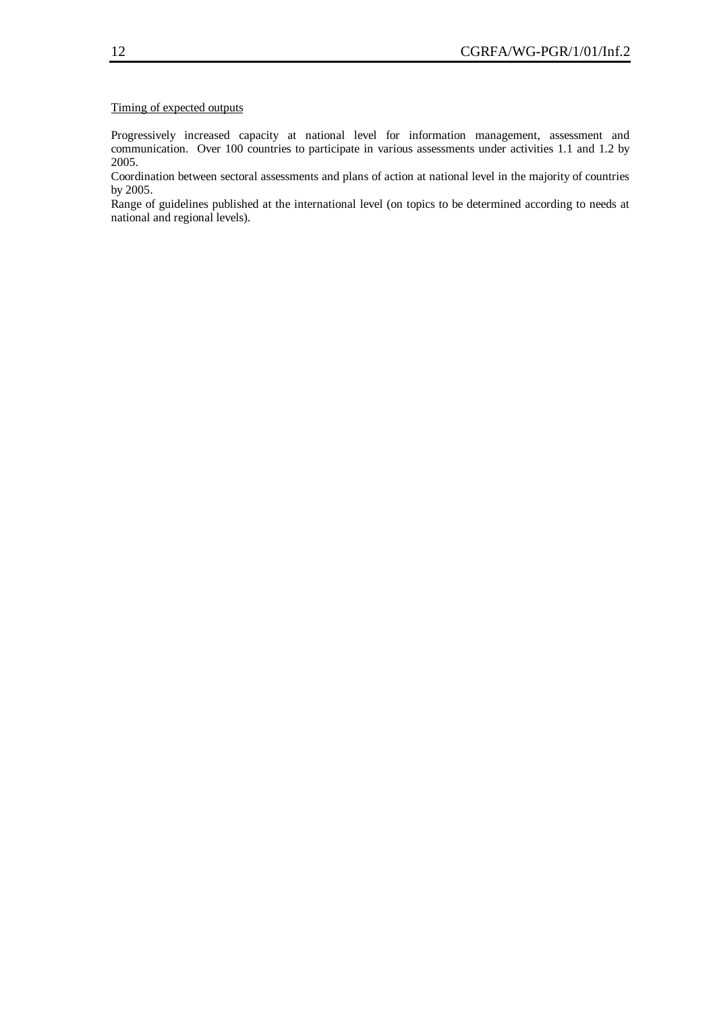# Timing of expected outputs

Progressively increased capacity at national level for information management, assessment and communication. Over 100 countries to participate in various assessments under activities 1.1 and 1.2 by 2005.

Coordination between sectoral assessments and plans of action at national level in the majority of countries by 2005.

Range of guidelines published at the international level (on topics to be determined according to needs at national and regional levels).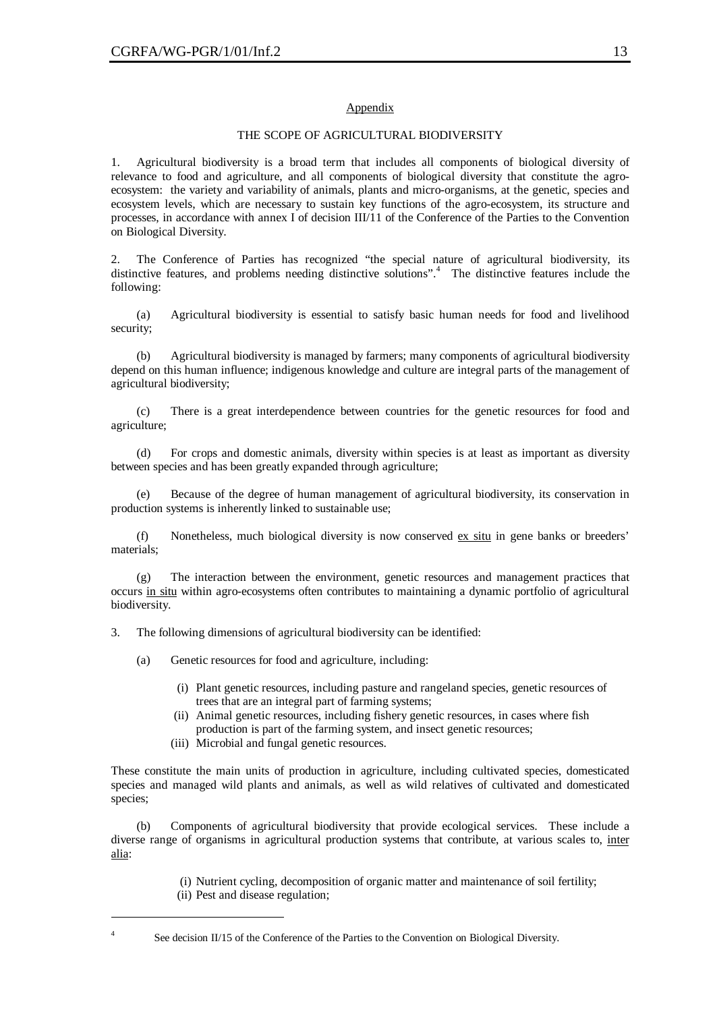# Appendix

#### THE SCOPE OF AGRICULTURAL BIODIVERSITY

1. Agricultural biodiversity is a broad term that includes all components of biological diversity of relevance to food and agriculture, and all components of biological diversity that constitute the agroecosystem: the variety and variability of animals, plants and micro-organisms, at the genetic, species and ecosystem levels, which are necessary to sustain key functions of the agro-ecosystem, its structure and processes, in accordance with annex I of decision III/11 of the Conference of the Parties to the Convention on Biological Diversity.

2. The Conference of Parties has recognized "the special nature of agricultural biodiversity, its distinctive features, and problems needing distinctive solutions".<sup>4</sup> The distinctive features include the following:

(a) Agricultural biodiversity is essential to satisfy basic human needs for food and livelihood security;

(b) Agricultural biodiversity is managed by farmers; many components of agricultural biodiversity depend on this human influence; indigenous knowledge and culture are integral parts of the management of agricultural biodiversity;

(c) There is a great interdependence between countries for the genetic resources for food and agriculture;

(d) For crops and domestic animals, diversity within species is at least as important as diversity between species and has been greatly expanded through agriculture;

(e) Because of the degree of human management of agricultural biodiversity, its conservation in production systems is inherently linked to sustainable use;

(f) Nonetheless, much biological diversity is now conserved ex situ in gene banks or breeders' materials;

(g) The interaction between the environment, genetic resources and management practices that occurs in situ within agro-ecosystems often contributes to maintaining a dynamic portfolio of agricultural biodiversity.

3. The following dimensions of agricultural biodiversity can be identified:

(a) Genetic resources for food and agriculture, including:

- (i) Plant genetic resources, including pasture and rangeland species, genetic resources of trees that are an integral part of farming systems;
- (ii) Animal genetic resources, including fishery genetic resources, in cases where fish production is part of the farming system, and insect genetic resources;
- (iii) Microbial and fungal genetic resources.

These constitute the main units of production in agriculture, including cultivated species, domesticated species and managed wild plants and animals, as well as wild relatives of cultivated and domesticated species;

(b) Components of agricultural biodiversity that provide ecological services. These include a diverse range of organisms in agricultural production systems that contribute, at various scales to, inter alia:

(i) Nutrient cycling, decomposition of organic matter and maintenance of soil fertility;

(ii) Pest and disease regulation;

See decision II/15 of the Conference of the Parties to the Convention on Biological Diversity.